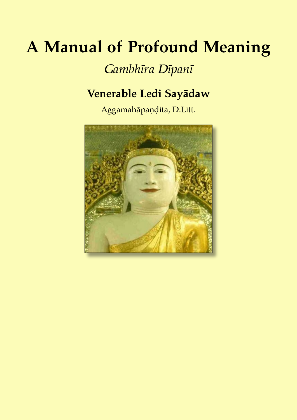# **A Manual of Profound Meaning**

## *Gambhīra Dīpanī*

### **Venerable Ledi Sayādaw**

Aggamahāpaṇḍita, D.Litt.

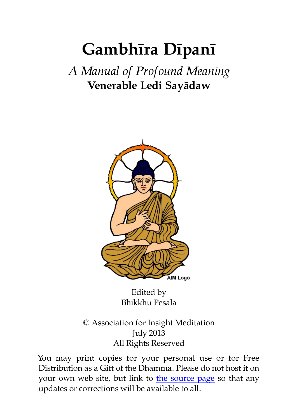# **Gambhīra Dīpanī**

## *A Manual of Profound Meaning* **Venerable Ledi Sayādaw**



Edited by Bhikkhu Pesala

© Association for Insight Meditation July 2013 All Rights Reserved

You may print copies for your personal use or for Free Distribution as a Gift of the Dhamma. Please do not host it on your own web site, but link to [the source page](http://www.aimwell.org/Books/Ledi/Sasana/sasana.html) so that any updates or corrections will be available to all.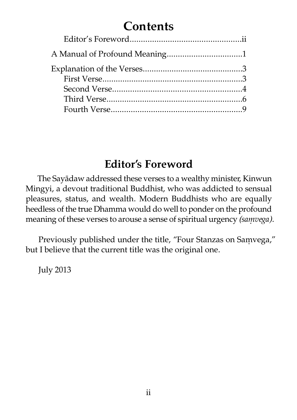# **Contents**

#### **Editor's Foreword**

The Sayādaw addressed these verses to a wealthy minister, Kinwun Mingyi, a devout traditional Buddhist, who was addicted to sensual pleasures, status, and wealth. Modern Buddhists who are equally heedless of the true Dhamma would do well to ponder on the profound meaning of these verses to arouse a sense of spiritual urgency *(saṃvega).*

Previously published under the title, "Four Stanzas on Samvega," but I believe that the current title was the original one.

July 2013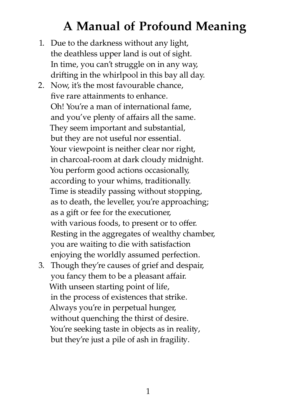# **A Manual of Profound Meaning**

- 1. Due to the darkness without any light, the deathless upper land is out of sight. In time, you can't struggle on in any way, drifting in the whirlpool in this bay all day.
- 2. Now, it's the most favourable chance, five rare attainments to enhance. Oh! You're a man of international fame, and you've plenty of affairs all the same. They seem important and substantial, but they are not useful nor essential. Your viewpoint is neither clear nor right, in charcoal-room at dark cloudy midnight. You perform good actions occasionally, according to your whims, traditionally. Time is steadily passing without stopping, as to death, the leveller, you're approaching; as a gift or fee for the executioner, with various foods, to present or to offer. Resting in the aggregates of wealthy chamber, you are waiting to die with satisfaction enjoying the worldly assumed perfection.
- 3. Though they're causes of grief and despair, you fancy them to be a pleasant affair. With unseen starting point of life, in the process of existences that strike. Always you're in perpetual hunger, without quenching the thirst of desire. You're seeking taste in objects as in reality, but they're just a pile of ash in fragility.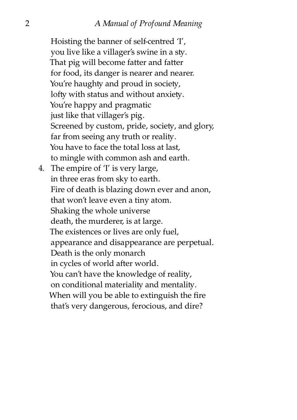Hoisting the banner of self-centred 'I', you live like a villager's swine in a sty. That pig will become fatter and fatter for food, its danger is nearer and nearer. You're haughty and proud in society, lofty with status and without anxiety. You're happy and pragmatic just like that villager's pig. Screened by custom, pride, society, and glory, far from seeing any truth or reality. You have to face the total loss at last, to mingle with common ash and earth. 4. The empire of 'I' is very large, in three eras from sky to earth. Fire of death is blazing down ever and anon, that won't leave even a tiny atom. Shaking the whole universe death, the murderer, is at large. The existences or lives are only fuel, appearance and disappearance are perpetual. Death is the only monarch in cycles of world after world. You can't have the knowledge of reality, on conditional materiality and mentality. When will you be able to extinguish the fire that's very dangerous, ferocious, and dire?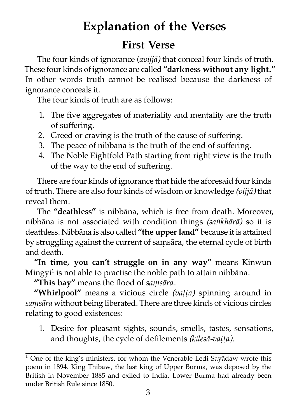# **Explanation of the Verses**

#### **First Verse**

The four kinds of ignorance (*avijjā*) that conceal four kinds of truth. These four kinds of ignorance are called **"darkness without any light."** In other words truth cannot be realised because the darkness of ignorance conceals it.

The four kinds of truth are as follows:

- 1. The five aggregates of materiality and mentality are the truth of suffering.
- 2. Greed or craving is the truth of the cause of suffering.
- 3. The peace of nibbana is the truth of the end of suffering.
- 4. The Noble Eightfold Path starting from right view is the truth of the way to the end of suffering.

There are four kinds of ignorance that hide the aforesaid four kinds of truth. There are also four kinds of wisdom or knowledge *(vijjā)* that reveal them.

The "deathless" is nibbana, which is free from death. Moreover, nibbāna is not associated with condition things *(saṅkhārā)* so it is deathless. Nibbāna is also called "the upper land" because it is attained by struggling against the current of samsāra, the eternal cycle of birth and death.

"In time, you can't struggle on in any way" means Kinwun Mingyi<sup>1</sup> is not able to practise the noble path to attain nibbāna.

**"This bay"** means the flood of *saṃsāra.*

**"Whirlpool"** means a vicious circle *(vaṭṭa)* spinning around in *saṃsāra* without being liberated. There are three kinds of vicious circles relating to good existences:

1. Desire for pleasant sights, sounds, smells, tastes, sensations, and thoughts, the cycle of defilements *(kilesā-vaṭṭa).*

 $<sup>1</sup>$  One of the king's ministers, for whom the Venerable Ledi Sayādaw wrote this</sup> poem in 1894. King Thibaw, the last king of Upper Burma, was deposed by the British in November 1885 and exiled to India. Lower Burma had already been under British Rule since 1850.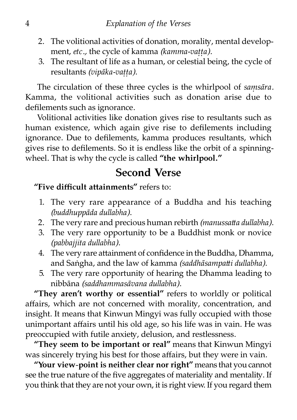- 2. The volitional activities of donation, morality, mental development, *etc.*, the cycle of kamma *(kamma-vatta)*.
- 3. The resultant of life as a human, or celestial being, the cycle of resultants *(vipāka-vaṭṭa)*.

The circulation of these three cycles is the whirlpool of *saṃsāra.* Kamma, the volitional activities such as donation arise due to defilements such as ignorance.

Volitional activities like donation gives rise to resultants such as human existence, which again give rise to defilements including ignorance. Due to defilements, kamma produces resultants, which gives rise to defilements. So it is endless like the orbit of a spinningwheel. That is why the cycle is called **"the whirlpool."**

#### **Second Verse**

"Five difficult attainments" refers to:

- 1. The very rare appearance of a Buddha and his teaching *(buddhuppāda dullabha)*.
- 2. The very rare and precious human rebirth *(manussatta dullabha)*.
- 3. The very rare opportunity to be a Buddhist monk or novice *(pabbajjita dullabha)*.
- 4. The very rare attainment of confidence in the Buddha, Dhamma, and Saṅgha, and the law of kamma *(saddhāsampatti dullabha)*.
- 5. The very rare opportunity of hearing the Dhamma leading to nibbāna *(saddhammasāvana dullabha)*.

**"They aren't worthy or essential"** refers to worldly or political affairs, which are not concerned with morality, concentration, and insight. It means that Kinwun Mingyi was fully occupied with those unimportant affairs until his old age, so his life was in vain. He was preoccupied with futile anxiety, delusion, and restlessness.

**"They seem to be important or real"** means that Kinwun Mingyi was sincerely trying his best for those affairs, but they were in vain.

**"Your view-point is neither clear nor right"** means that you cannot see the true nature of the five aggregates of materiality and mentality. If you think that they are not your own, it is right view. If you regard them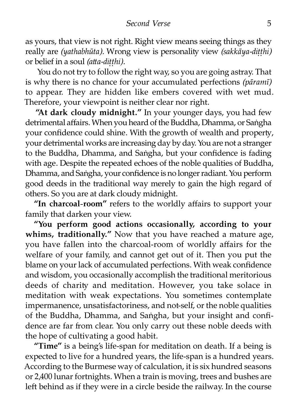as yours, that view is not right. Right view means seeing things as they really are *(yathabhūta)*. Wrong view is personality view *(sakkāya-ditthi)* or belief in a soul *(atta-ditthi)*.

You do not try to follow the right way, so you are going astray. That is why there is no chance for your accumulated perfections *(pāramī)* to appear. They are hidden like embers covered with wet mud. Therefore, your viewpoint is neither clear nor right.

**"At dark cloudy midnight."** In your younger days, you had few detrimental affairs. When you heard of the Buddha, Dhamma, or Saṅgha your confidence could shine. With the growth of wealth and property, your detrimental works are increasing day by day. You are not a stranger to the Buddha, Dhamma, and Saṅgha, but your confidence is fading with age. Despite the repeated echoes of the noble qualities of Buddha, Dhamma, and Saṅgha, your confidence is no longer radiant. You perform good deeds in the traditional way merely to gain the high regard of others. So you are at dark cloudy midnight.

**"In charcoal-room"** refers to the worldly affairs to support your family that darken your view.

**"You perform good actions occasionally, according to your** whims, traditionally." Now that you have reached a mature age, you have fallen into the charcoal-room of worldly affairs for the welfare of your family, and cannot get out of it. Then you put the blame on your lack of accumulated perfections. With weak confidence and wisdom, you occasionally accomplish the traditional meritorious deeds of charity and meditation. However, you take solace in meditation with weak expectations. You sometimes contemplate impermanence, unsatisfactoriness, and not-self, or the noble qualities of the Buddha, Dhamma, and Saṅgha, but your insight and confidence are far from clear. You only carry out these noble deeds with the hope of cultivating a good habit.

**"Time"** is a being's life-span for meditation on death. If a being is expected to live for a hundred years, the life-span is a hundred years. According to the Burmese way of calculation, it is six hundred seasons or 2,400 lunar fortnights. When a train is moving, trees and bushes are left behind as if they were in a circle beside the railway. In the course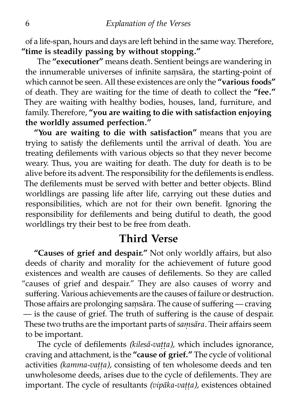of a life-span, hours and days are left behind in the same way. Therefore, **"time is steadily passing by without stopping."**

The **"executioner"** means death. Sentient beings are wandering in the innumerable universes of infinite saṃsāra, the starting-point of which cannot be seen. All these existences are only the **"various foods"** of death. They are waiting for the time of death to collect the **"fee."** They are waiting with healthy bodies, houses, land, furniture, and family. Therefore, **"you are waiting to die with satisfaction enjoying the worldly assumed perfection."**

**"You are waiting to die with satisfaction"** means that you are trying to satisfy the defilements until the arrival of death. You are treating defilements with various objects so that they never become weary. Thus, you are waiting for death. The duty for death is to be alive before its advent. The responsibility for the defilements is endless. The defilements must be served with better and better objects. Blind worldlings are passing life after life, carrying out these duties and responsibilities, which are not for their own benefit. Ignoring the responsibility for defilements and being dutiful to death, the good worldlings try their best to be free from death.

#### **Third Verse**

**"Causes of grief and despair."** Not only worldly affairs, but also deeds of charity and morality for the achievement of future good existences and wealth are causes of defilements. So they are called "causes of grief and despair." They are also causes of worry and suffering. Various achievements are the causes of failure or destruction. Those affairs are prolonging samsāra. The cause of suffering — craving  $-$  is the cause of grief. The truth of suffering is the cause of despair. These two truths are the important parts of *samsāra*. Their affairs seem to be important.

The cycle of defilements *(kilesā-vaṭṭa),* which includes ignorance, craving and attachment, is the "cause of grief." The cycle of volitional activities *(kamma-vaṭṭa),* consisting of ten wholesome deeds and ten unwholesome deeds, arises due to the cycle of defilements. They are important. The cycle of resultants *(vipāka-vaṭṭa),* existences obtained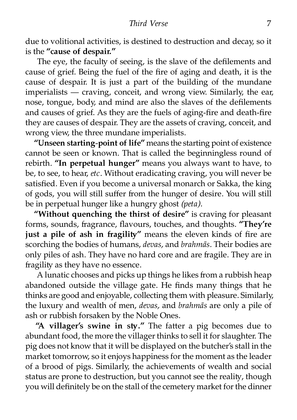#### *Third Verse* 7

due to volitional activities, is destined to destruction and decay, so it is the **"cause of despair."**

The eye, the faculty of seeing, is the slave of the defilements and cause of grief. Being the fuel of the fire of aging and death, it is the cause of despair. It is just a part of the building of the mundane imperialists — craving, conceit, and wrong view. Similarly, the ear, nose, tongue, body, and mind are also the slaves of the defilements and causes of grief. As they are the fuels of aging-fire and death-fire they are causes of despair. They are the assets of craving, conceit, and wrong view, the three mundane imperialists.

**"Unseen starting-point of life"** means the starting point of existence cannot be seen or known. That is called the beginningless round of rebirth. **"In perpetual hunger"** means you always want to have, to be, to see, to hear, *etc.* Without eradicating craving, you will never be satisfied. Even if you become a universal monarch or Sakka, the king of gods, you will still suffer from the hunger of desire. You will still be in perpetual hunger like a hungry ghost *(peta).*

**"Without quenching the thirst of desire"** is craving for pleasant forms, sounds, fragrance, flavours, touches, and thoughts. "They're just a pile of ash in fragility" means the eleven kinds of fire are scorching the bodies of humans, *devas,* and *brahmās.* Their bodies are only piles of ash. They have no hard core and are fragile. They are in fragility as they have no essence.

A lunatic chooses and picks up things he likes from a rubbish heap abandoned outside the village gate. He finds many things that he thinks are good and enjoyable, collecting them with pleasure. Similarly, the luxury and wealth of men, *devas,* and *brahmās* are only a pile of ash or rubbish forsaken by the Noble Ones.

"A villager's swine in sty." The fatter a pig becomes due to abundant food, the more the villager thinks to sell it for slaughter. The pig does not know that it will be displayed on the butcher's stall in the market tomorrow, so it enjoys happiness for the moment as the leader of a brood of pigs. Similarly, the achievements of wealth and social status are prone to destruction, but you cannot see the reality, though you will definitely be on the stall of the cemetery market for the dinner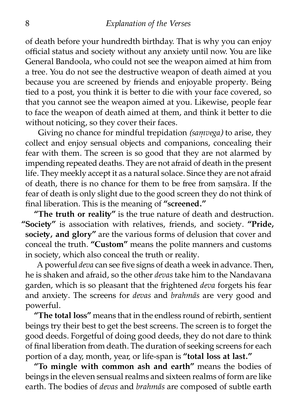of death before your hundredth birthday. That is why you can enjoy official status and society without any anxiety until now. You are like General Bandoola, who could not see the weapon aimed at him from a tree. You do not see the destructive weapon of death aimed at you because you are screened by friends and enjoyable property. Being tied to a post, you think it is better to die with your face covered, so that you cannot see the weapon aimed at you. Likewise, people fear to face the weapon of death aimed at them, and think it better to die without noticing, so they cover their faces.

Giving no chance for mindful trepidation *(samvega)* to arise, they collect and enjoy sensual objects and companions, concealing their fear with them. The screen is so good that they are not alarmed by impending repeated deaths. They are not afraid of death in the present life. They meekly accept it as a natural solace. Since they are not afraid of death, there is no chance for them to be free from samsāra. If the fear of death is only slight due to the good screen they do not think of final liberation. This is the meaning of **"screened."**

"The truth or reality" is the true nature of death and destruction. "Society" is association with relatives, friends, and society. "Pride, society, and glory" are the various forms of delusion that cover and conceal the truth. "Custom" means the polite manners and customs in society, which also conceal the truth or reality.

A powerful *deva* can see five signs of death a week in advance. Then, he is shaken and afraid, so the other *devas* take him to the Nandavana garden, which is so pleasant that the frightened *deva* forgets his fear and anxiety. The screens for *devas* and *brahmās* are very good and powerful.

**"The total loss"** means that in the endless round of rebirth, sentient beings try their best to get the best screens. The screen is to forget the good deeds. Forgetful of doing good deeds, they do not dare to think of final liberation from death. The duration of seeking screens for each portion of a day, month, year, or life-span is **"total loss at last."**

**"To mingle with common ash and earth"** means the bodies of beings in the eleven sensual realms and sixteen realms of form are like earth. The bodies of *devas* and *brahmās* are composed of subtle earth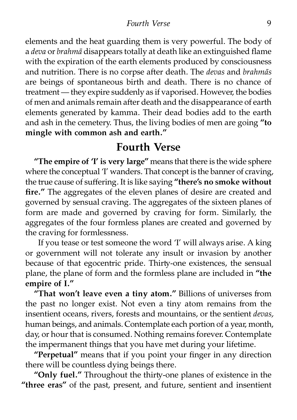#### *Fourth Verse* 9

elements and the heat guarding them is very powerful. The body of a *deva* or *brahmā* disappears totally at death like an extinguished flame with the expiration of the earth elements produced by consciousness and nutrition. There is no corpse after death. The *devas* and *brahmās* are beings of spontaneous birth and death. There is no chance of eatment — they expire suddenly as if vaporised. However, the bodies of men and animals remain after death and the disappearance of earth elements generated by kamma. Their dead bodies add to the earth and ash in the cemetery. Thus, the living bodies of men are going **"to mingle with common ash and earth."**

#### **Fourth Verse**

**"The empire of 'I' is very large"** means that there is the wide sphere where the conceptual 'I' wanders. That concept is the banner of craving, the true cause of suffering. It is like saying "there's no smoke without **fire."** The aggregates of the eleven planes of desire are created and governed by sensual craving. The aggregates of the sixteen planes of form are made and governed by craving for form. Similarly, the aggregates of the four formless planes are created and governed by the craving for formlessness.

If you tease or test someone the word 'I' will always arise. A king or government will not tolerate any insult or invasion by another because of that egocentric pride. Thirty-one existences, the sensual plane, the plane of form and the formless plane are included in **"the empire of I."**

"That won't leave even a tiny atom." Billions of universes from the past no longer exist. Not even a tiny atom remains from the insentient oceans, rivers, forests and mountains, or the sentient *devas,* human beings, and animals. Contemplate each portion of a year, month, day, or hour that is consumed. Nothing remains forever. Contemplate the impermanent things that you have met during your lifetime.

**"Perpetual"** means that if you point your finger in any direction there will be countless dying beings there.

"Only fuel." Throughout the thirty-one planes of existence in the **"three eras"** of the past, present, and future, sentient and insentient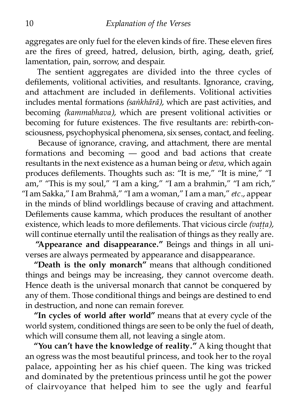aggregates are only fuel for the eleven kinds of fire. These eleven fires are the fires of greed, hatred, delusion, birth, aging, death, grief, lamentation, pain, sorrow, and despair.

The sentient aggregates are divided into the three cycles of defilements, volitional activities, and resultants. Ignorance, craving, and attachment are included in defilements. Volitional activities includes mental formations *(saṅkhārā),* which are past activities, and becoming *(kammabhava),* which are present volitional activities or becoming for future existences. The five resultants are: rebirth-consciousness, psychophysical phenomena, six senses, contact, and feeling.

Because of ignorance, craving, and attachment, there are mental formations and becoming — good and bad actions that create resultants in the next existence as a human being or *deva,* which again produces defilements. Thoughts such as: "It is me," "It is mine," "I am," "This is my soul," "I am a king," "I am a brahmin," "I am rich," "I am Sakka," I am Brahmā," "I am a woman," I am a man," *etc.,* appear in the minds of blind worldlings because of craving and attachment. Defilements cause kamma, which produces the resultant of another existence, which leads to more defilements. That vicious circle *(vaṭṭa),* will continue eternally until the realisation of things as they really are.

**"Appearance and disappearance."** Beings and things in all universes are always permeated by appearance and disappearance.

**"Death is the only monarch"** means that although conditioned things and beings may be increasing, they cannot overcome death. Hence death is the universal monarch that cannot be conquered by any of them. Those conditional things and beings are destined to end in destruction, and none can remain forever.

"In cycles of world after world" means that at every cycle of the world system, conditioned things are seen to be only the fuel of death, which will consume them all, not leaving a single atom.

"You can't have the knowledge of reality." A king thought that an ogress was the most beautiful princess, and took her to the royal palace, appointing her as his chief queen. The king was tricked and dominated by the pretentious princess until he got the power of clairvoyance that helped him to see the ugly and fearful